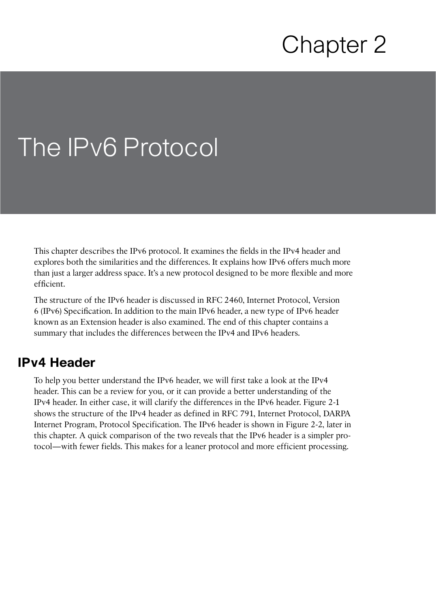# Chapter 2

# The IPv6 Protocol

This chapter describes the IPv6 protocol. It examines the fields in the IPv4 header and explores both the similarities and the differences. It explains how IPv6 offers much more than just a larger address space. It's a new protocol designed to be more flexible and more efficient.

 The structure of the IPv6 header is discussed in RFC 2460, Internet Protocol, Version 6 (IPv6) Specification. In addition to the main IPv6 header, a new type of IPv6 header known as an Extension header is also examined. The end of this chapter contains a summary that includes the differences between the IPv4 and IPv6 headers.

## **IPv4 Header**

 To help you better understand the IPv6 header, we will first take a look at the IPv4 header. This can be a review for you, or it can provide a better understanding of the IPv4 header. In either case, it will clarify the differences in the IPv6 header. Figure 2-1 shows the structure of the IPv4 header as defined in RFC 791, Internet Protocol, DARPA Internet Program, Protocol Specification. The IPv6 header is shown in Figure 2-2 , later in this chapter. A quick comparison of the two reveals that the IPv6 header is a simpler protocol—with fewer fields. This makes for a leaner protocol and more efficient processing.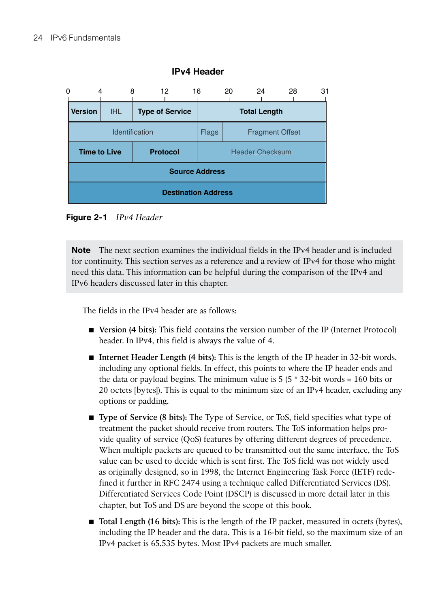

#### **IPv4 Header**

**Figure 2-1** *IPv4 Header* 

**Note** The next section examines the individual fields in the IPv4 header and is included for continuity. This section serves as a reference and a review of IPv4 for those who might need this data. This information can be helpful during the comparison of the IPv4 and IPv6 headers discussed later in this chapter.

The fields in the IPv4 header are as follows:

- **Version (4 bits):** This field contains the version number of the IP (Internet Protocol) header. In IPv4, this field is always the value of 4.
- **Internet Header Length (4 bits):** This is the length of the IP header in 32-bit words, including any optional fields. In effect, this points to where the IP header ends and the data or payload begins. The minimum value is  $5(5 * 32$ -bit words = 160 bits or 20 octets [bytes]). This is equal to the minimum size of an IPv4 header, excluding any options or padding.
- **Type of Service (8 bits):** The Type of Service, or ToS, field specifies what type of treatment the packet should receive from routers. The ToS information helps provide quality of service (QoS) features by offering different degrees of precedence. When multiple packets are queued to be transmitted out the same interface, the ToS value can be used to decide which is sent first. The ToS field was not widely used as originally designed, so in 1998, the Internet Engineering Task Force (IETF) redefined it further in RFC 2474 using a technique called Differentiated Services (DS). Differentiated Services Code Point (DSCP) is discussed in more detail later in this chapter, but ToS and DS are beyond the scope of this book.
- **Total Length (16 bits):** This is the length of the IP packet, measured in octets (bytes), including the IP header and the data. This is a 16-bit field, so the maximum size of an IPv4 packet is 65,535 bytes. Most IPv4 packets are much smaller.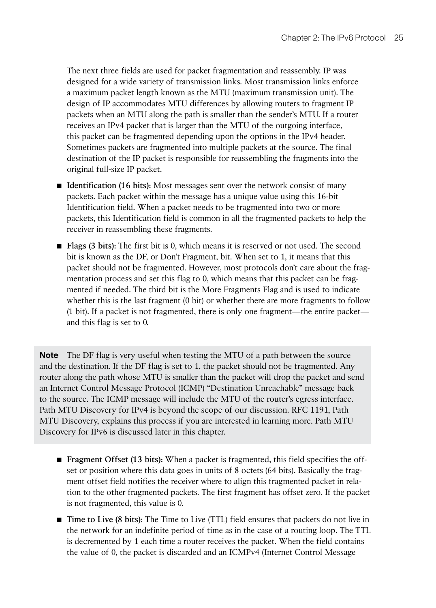The next three fields are used for packet fragmentation and reassembly. IP was designed for a wide variety of transmission links. Most transmission links enforce a maximum packet length known as the MTU (maximum transmission unit). The design of IP accommodates MTU differences by allowing routers to fragment IP packets when an MTU along the path is smaller than the sender's MTU. If a router receives an IPv4 packet that is larger than the MTU of the outgoing interface, this packet can be fragmented depending upon the options in the IPv4 header. Sometimes packets are fragmented into multiple packets at the source. The final destination of the IP packet is responsible for reassembling the fragments into the original full-size IP packet.

- **Identification (16 bits):** Most messages sent over the network consist of many packets. Each packet within the message has a unique value using this 16-bit Identification field. When a packet needs to be fragmented into two or more packets, this Identification field is common in all the fragmented packets to help the receiver in reassembling these fragments.
- **Flags (3 bits):** The first bit is 0, which means it is reserved or not used. The second bit is known as the DF, or Don't Fragment, bit. When set to 1, it means that this packet should not be fragmented. However, most protocols don't care about the fragmentation process and set this flag to 0, which means that this packet can be fragmented if needed. The third bit is the More Fragments Flag and is used to indicate whether this is the last fragment (0 bit) or whether there are more fragments to follow (1 bit). If a packet is not fragmented, there is only one fragment—the entire packet and this flag is set to 0.

**Note** The DF flag is very useful when testing the MTU of a path between the source and the destination. If the DF flag is set to 1, the packet should not be fragmented. Any router along the path whose MTU is smaller than the packet will drop the packet and send an Internet Control Message Protocol (ICMP) "Destination Unreachable" message back to the source. The ICMP message will include the MTU of the router's egress interface. Path MTU Discovery for IPv4 is beyond the scope of our discussion. RFC 1191, Path MTU Discovery, explains this process if you are interested in learning more. Path MTU Discovery for IPv6 is discussed later in this chapter.

- **Fragment Offset (13 bits):** When a packet is fragmented, this field specifies the offset or position where this data goes in units of 8 octets (64 bits). Basically the fragment offset field notifies the receiver where to align this fragmented packet in relation to the other fragmented packets. The first fragment has offset zero. If the packet is not fragmented, this value is 0.
- **Time to Live (8 bits):** The Time to Live (TTL) field ensures that packets do not live in the network for an indefinite period of time as in the case of a routing loop. The TTL is decremented by 1 each time a router receives the packet. When the field contains the value of 0, the packet is discarded and an ICMPv4 (Internet Control Message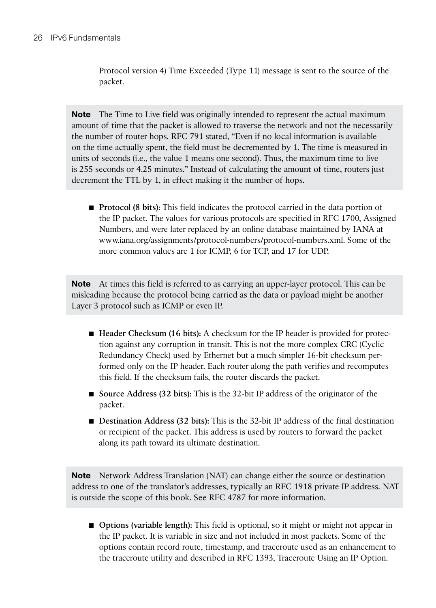Protocol version 4) Time Exceeded (Type 11) message is sent to the source of the packet.

**Note** The Time to Live field was originally intended to represent the actual maximum amount of time that the packet is allowed to traverse the network and not the necessarily the number of router hops. RFC 791 stated, "Even if no local information is available on the time actually spent, the field must be decremented by 1. The time is measured in units of seconds (i.e., the value 1 means one second). Thus, the maximum time to live is 255 seconds or 4.25 minutes." Instead of calculating the amount of time, routers just decrement the TTL by 1, in effect making it the number of hops.

■ **Protocol (8 bits):** This field indicates the protocol carried in the data portion of the IP packet. The values for various protocols are specified in RFC 1700, Assigned Numbers, and were later replaced by an online database maintained by IANA at  [www.iana.org/assignments/protocol-numbers/protocol-numbers.xml .](http://www.iana.org/assignments/protocol-numbers/protocol-numbers.xml) Some of the more common values are 1 for ICMP, 6 for TCP, and 17 for UDP.

**Note** At times this field is referred to as carrying an upper-layer protocol. This can be misleading because the protocol being carried as the data or payload might be another Layer 3 protocol such as ICMP or even IP.

- **Header Checksum (16 bits):** A checksum for the IP header is provided for protection against any corruption in transit. This is not the more complex CRC (Cyclic Redundancy Check) used by Ethernet but a much simpler 16-bit checksum performed only on the IP header. Each router along the path verifies and recomputes this field. If the checksum fails, the router discards the packet.
- **Source Address (32 bits):** This is the 32-bit IP address of the originator of the packet.
- **Destination Address (32 bits):** This is the 32-bit IP address of the final destination or recipient of the packet. This address is used by routers to forward the packet along its path toward its ultimate destination.

**Note** Network Address Translation (NAT) can change either the source or destination address to one of the translator's addresses, typically an RFC 1918 private IP address. NAT is outside the scope of this book. See RFC 4787 for more information.

■ **Options (variable length):** This field is optional, so it might or might not appear in the IP packet. It is variable in size and not included in most packets. Some of the options contain record route, timestamp, and traceroute used as an enhancement to the traceroute utility and described in RFC 1393, Traceroute Using an IP Option.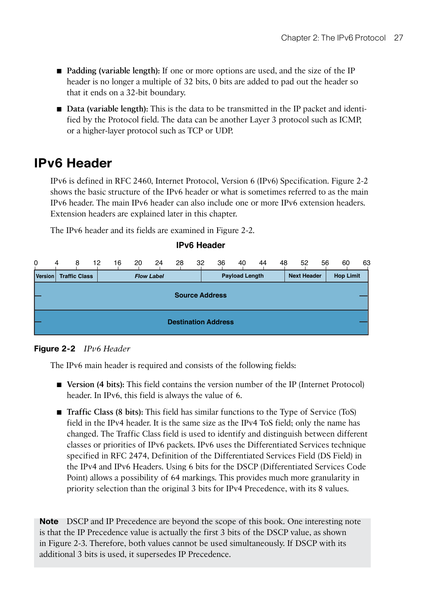- **Padding (variable length):** If one or more options are used, and the size of the IP header is no longer a multiple of 32 bits, 0 bits are added to pad out the header so that it ends on a 32-bit boundary.
- **Data (variable length):** This is the data to be transmitted in the IP packet and identified by the Protocol field. The data can be another Layer 3 protocol such as ICMP, or a higher-layer protocol such as TCP or UDP.

# **IPv6 Header**

 IPv6 is defined in RFC 2460, Internet Protocol, Version 6 (IPv6) Specification. Figure 2-2 shows the basic structure of the IPv6 header or what is sometimes referred to as the main IPv6 header. The main IPv6 header can also include one or more IPv6 extension headers. Extension headers are explained later in this chapter.

The IPv6 header and its fields are examined in Figure 2-2.

#### **IPv6 Header**

| 0       | 4                          | 8                    | 12 | 16 | 20 | 24                | 28 | 32 | 36 | 40                    | 44 | 48 | 52                 | 56 | 60               | 63 |
|---------|----------------------------|----------------------|----|----|----|-------------------|----|----|----|-----------------------|----|----|--------------------|----|------------------|----|
| Version |                            | <b>Traffic Class</b> |    |    |    | <b>Flow Label</b> |    |    |    | <b>Payload Length</b> |    |    | <b>Next Header</b> |    | <b>Hop Limit</b> |    |
|         | <b>Source Address</b>      |                      |    |    |    |                   |    |    |    |                       |    |    |                    |    |                  |    |
|         |                            |                      |    |    |    |                   |    |    |    |                       |    |    |                    |    |                  |    |
|         |                            |                      |    |    |    |                   |    |    |    |                       |    |    |                    |    |                  |    |
|         | <b>Destination Address</b> |                      |    |    |    |                   |    |    |    |                       |    |    |                    |    |                  |    |

#### **Figure 2-2** *IPv6 Header*

The IPv6 main header is required and consists of the following fields:

- **Version (4 bits):** This field contains the version number of the IP (Internet Protocol) header. In IPv6, this field is always the value of 6.
- **Traffic Class (8 bits):** This field has similar functions to the Type of Service (ToS) field in the IPv4 header. It is the same size as the IPv4 ToS field; only the name has changed. The Traffic Class field is used to identify and distinguish between different classes or priorities of IPv6 packets. IPv6 uses the Differentiated Services technique specified in RFC 2474, Definition of the Differentiated Services Field (DS Field) in the IPv4 and IPv6 Headers. Using 6 bits for the DSCP (Differentiated Services Code Point) allows a possibility of 64 markings. This provides much more granularity in priority selection than the original 3 bits for IPv4 Precedence, with its 8 values.

**Note** DSCP and IP Precedence are beyond the scope of this book. One interesting note is that the IP Precedence value is actually the first 3 bits of the DSCP value, as shown in Figure 2-3 . Therefore, both values cannot be used simultaneously. If DSCP with its additional 3 bits is used, it supersedes IP Precedence.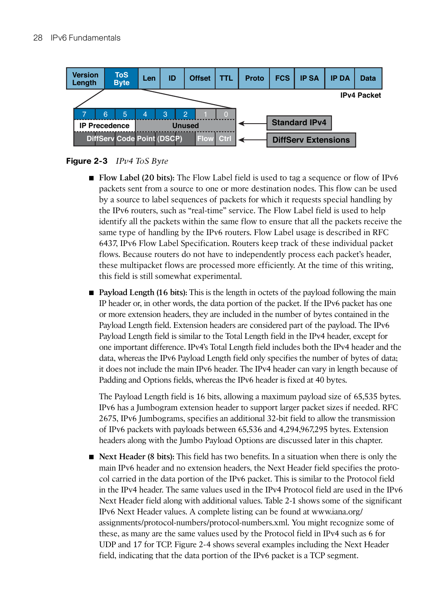

**Figure 2-3** *IPv4 ToS Byte* 

- **Flow Label (20 bits):** The Flow Label field is used to tag a sequence or flow of IPv6 packets sent from a source to one or more destination nodes. This flow can be used by a source to label sequences of packets for which it requests special handling by the IPv6 routers, such as "real-time" service. The Flow Label field is used to help identify all the packets within the same flow to ensure that all the packets receive the same type of handling by the IPv6 routers. Flow Label usage is described in RFC 6437, IPv6 Flow Label Specification. Routers keep track of these individual packet flows. Because routers do not have to independently process each packet's header, these multipacket flows are processed more efficiently. At the time of this writing, this field is still somewhat experimental.
- **Payload Length (16 bits):** This is the length in octets of the payload following the main IP header or, in other words, the data portion of the packet. If the IPv6 packet has one or more extension headers, they are included in the number of bytes contained in the Payload Length field. Extension headers are considered part of the payload. The IPv6 Payload Length field is similar to the Total Length field in the IPv4 header, except for one important difference. IPv4's Total Length field includes both the IPv4 header and the data, whereas the IPv6 Payload Length field only specifies the number of bytes of data; it does not include the main IPv6 header. The IPv4 header can vary in length because of Padding and Options fields, whereas the IPv6 header is fixed at 40 bytes.

 The Payload Length field is 16 bits, allowing a maximum payload size of 65,535 bytes. IPv6 has a Jumbogram extension header to support larger packet sizes if needed. RFC 2675, IPv6 Jumbograms, specifies an additional 32-bit field to allow the transmission of IPv6 packets with payloads between 65,536 and 4,294,967,295 bytes. Extension headers along with the Jumbo Payload Options are discussed later in this chapter.

■ **Next Header (8 bits):** This field has two benefits. In a situation when there is only the main IPv6 header and no extension headers, the Next Header field specifies the protocol carried in the data portion of the IPv6 packet. This is similar to the Protocol field in the IPv4 header. The same values used in the IPv4 Protocol field are used in the IPv6 Next Header field along with additional values. Table 2-1 shows some of the significant IPv6 Next Header values. A complete listing can be found at [www.iana.org/](http://www.iana.org/) assignments/protocol-numbers/protocol-numbers.xml . You might recognize some of these, as many are the same values used by the Protocol field in IPv4 such as 6 for UDP and 17 for TCP. Figure 2-4 shows several examples including the Next Header field, indicating that the data portion of the IPv6 packet is a TCP segment.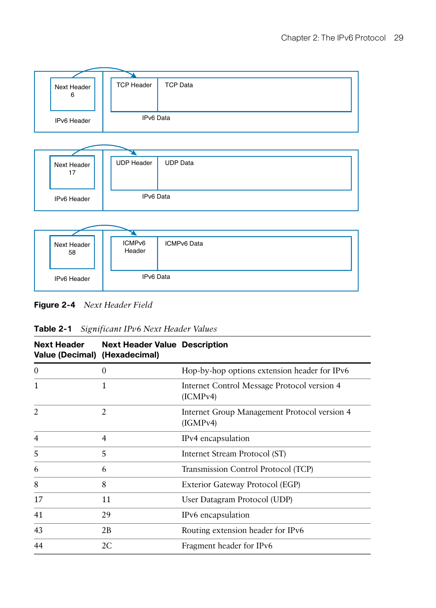

| Next Header<br>17 | <b>UDP Header</b> | <b>UDP</b> Data |
|-------------------|-------------------|-----------------|
| IPv6 Header       | IPv6 Data         |                 |



**Figure 2-4** *Next Header Field* 

| <b>Next Header</b><br>Value (Decimal) (Hexadecimal) | <b>Next Header Value Description</b> |                                                          |
|-----------------------------------------------------|--------------------------------------|----------------------------------------------------------|
| $\mathbf{0}$                                        | 0                                    | Hop-by-hop options extension header for IPv6             |
| 1                                                   | 1                                    | Internet Control Message Protocol version 4<br>(ICMPv4)  |
| $\overline{2}$                                      | 2                                    | Internet Group Management Protocol version 4<br>(IGMPv4) |
| $\overline{4}$                                      | 4                                    | IPv4 encapsulation                                       |
| 5                                                   | 5                                    | Internet Stream Protocol (ST)                            |
| 6                                                   | 6                                    | Transmission Control Protocol (TCP)                      |
| 8                                                   | 8                                    | Exterior Gateway Protocol (EGP)                          |
| 17                                                  | 11                                   | User Datagram Protocol (UDP)                             |
| 41                                                  | 29                                   | IPv6 encapsulation                                       |
| 43                                                  | 2В                                   | Routing extension header for IPv6                        |
| 44                                                  | 2C                                   | Fragment header for IPv6                                 |

**Table 2-1** *Significant IPv6 Next Header Values*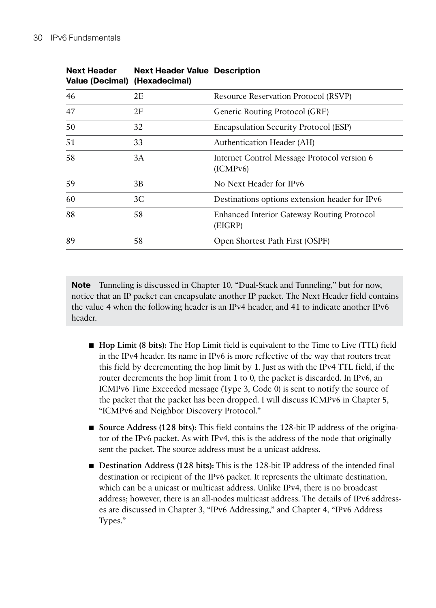**Next Header** 

| <b>Next Header</b><br>Value (Decimal) (Hexadecimal) | <b>Next Header Value Description</b> |                                                         |
|-----------------------------------------------------|--------------------------------------|---------------------------------------------------------|
| 46                                                  | 2E                                   | Resource Reservation Protocol (RSVP)                    |
| 47                                                  | 2F                                   | Generic Routing Protocol (GRE)                          |
| 50                                                  | 32                                   | Encapsulation Security Protocol (ESP)                   |
| 51                                                  | 33                                   | Authentication Header (AH)                              |
| 58                                                  | 3A                                   | Internet Control Message Protocol version 6<br>(ICMPv6) |
| 59                                                  | 3B                                   | No Next Header for IPv6                                 |
| 60                                                  | 3C                                   | Destinations options extension header for IPv6          |
| 88                                                  | 58                                   | Enhanced Interior Gateway Routing Protocol<br>(EIGRP)   |
| 89                                                  | 58                                   | Open Shortest Path First (OSPF)                         |

**Note** Tunneling is discussed in Chapter 10, "Dual-Stack and Tunneling," but for now, notice that an IP packet can encapsulate another IP packet. The Next Header field contains the value 4 when the following header is an IPv4 header, and 41 to indicate another IPv6 header.

- **Hop Limit (8 bits):** The Hop Limit field is equivalent to the Time to Live (TTL) field in the IPv4 header. Its name in IPv6 is more reflective of the way that routers treat this field by decrementing the hop limit by 1. Just as with the IPv4 TTL field, if the router decrements the hop limit from 1 to 0, the packet is discarded. In IPv6, an ICMPv6 Time Exceeded message (Type 3, Code 0) is sent to notify the source of the packet that the packet has been dropped. I will discuss ICMPv6 in Chapter 5, "ICMPv6 and Neighbor Discovery Protocol."
- **Source Address (128 bits):** This field contains the 128-bit IP address of the originator of the IPv6 packet. As with IPv4, this is the address of the node that originally sent the packet. The source address must be a unicast address.
- **Destination Address (128 bits):** This is the 128-bit IP address of the intended final destination or recipient of the IPv6 packet. It represents the ultimate destination, which can be a unicast or multicast address. Unlike IPv4, there is no broadcast address; however, there is an all-nodes multicast address. The details of IPv6 addresses are discussed in Chapter 3 , "IPv6 Addressing," and Chapter 4 , "IPv6 Address Types."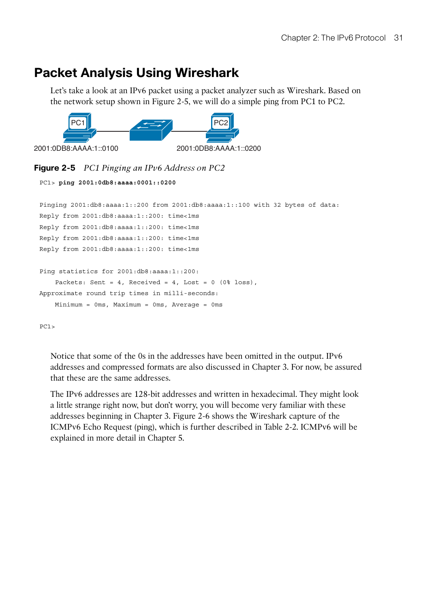# **Packet Analysis Using Wireshark**

 Let's take a look at an IPv6 packet using a packet analyzer such as Wireshark. Based on the network setup shown in Figure 2-5 , we will do a simple ping from PC1 to PC2.



## **Figure 2-5** *PC1 Pinging an IPv6 Address on PC2*

```
PC1> ping 2001:0db8:aaaa:0001::0200
Pinging 2001:db8:aaaa:1::200 from 2001:db8:aaaa:1::100 with 32 bytes of data:
Reply from 2001:db8:aaaa:1::200: time<1ms
Reply from 2001:db8:aaaa:1::200: time<1ms
Reply from 2001:db8:aaaa:1::200: time<1ms
Reply from 2001:db8:aaaa:1::200: time<1ms
Ping statistics for 2001:db8:aaaa:1::200:
   Packets: Sent = 4, Received = 4, Lost = 0 (0% loss),
Approximate round trip times in milli-seconds:
    Minimum = 0ms, Maximum = 0ms, Average = 0ms
```
 $PC1$ 

 Notice that some of the 0s in the addresses have been omitted in the output. IPv6 addresses and compressed formats are also discussed in Chapter 3 . For now, be assured that these are the same addresses.

 The IPv6 addresses are 128-bit addresses and written in hexadecimal. They might look a little strange right now, but don't worry, you will become very familiar with these addresses beginning in Chapter 3. Figure 2-6 shows the Wireshark capture of the ICMPv6 Echo Request (ping), which is further described in Table 2-2 . ICMPv6 will be explained in more detail in Chapter 5.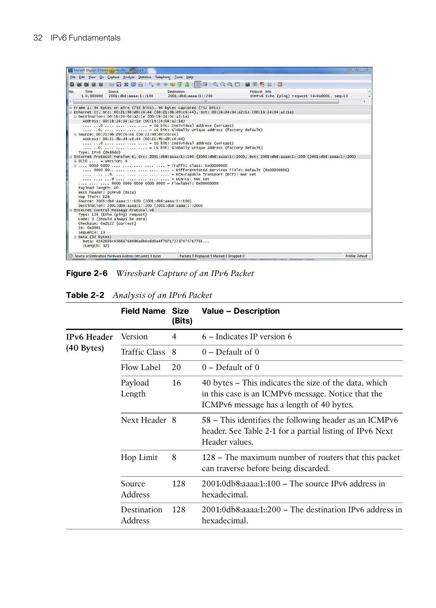

**Figure 2-6** *Wireshark Capture of an IPv6 Packet* 

|                    | <b>Field Name Size</b>   | (Bits) | <b>Value - Description</b>                                                                                                                              |
|--------------------|--------------------------|--------|---------------------------------------------------------------------------------------------------------------------------------------------------------|
| <b>IPv6</b> Header | Version                  | 4      | 6 – Indicates IP version 6                                                                                                                              |
| $(40$ Bytes)       | Traffic Class            | - 8    | $0$ – Default of 0                                                                                                                                      |
|                    | Flow Label               | 20     | $0$ – Default of 0                                                                                                                                      |
|                    | Payload<br>Length        | 16     | 40 bytes – This indicates the size of the data, which<br>in this case is an ICMPv6 message. Notice that the<br>ICMPv6 message has a length of 40 bytes. |
|                    | Next Header 8            |        | 58 – This identifies the following header as an ICMPv6<br>header. See Table 2-1 for a partial listing of IPv6 Next<br>Header values.                    |
|                    | Hop Limit                | 8      | 128 – The maximum number of routers that this packet<br>can traverse before being discarded.                                                            |
|                    | 128<br>Source<br>Address |        | $2001:0$ db8:aaaa:1::100 – The source IPv6 address in<br>hexadecimal.                                                                                   |
|                    | Destination<br>Address   | 128    | $2001:0$ db8:aaaa:1::200 – The destination IPv6 address in<br>hexadecimal.                                                                              |

**Table 2-2** *Analysis of an IPv6 Packet*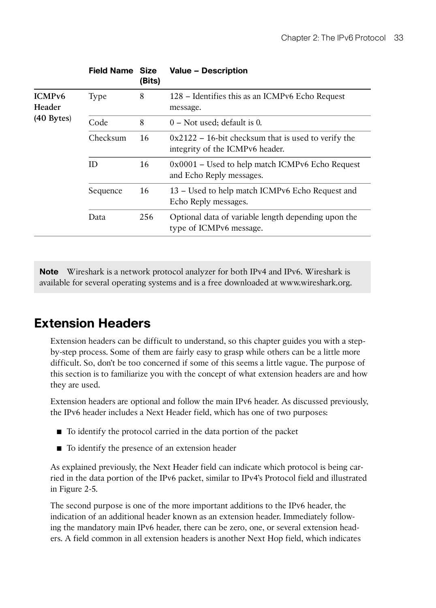|                              | <b>Field Name Size</b><br>(Bits) |     | <b>Value - Description</b>                                                                |  |  |  |
|------------------------------|----------------------------------|-----|-------------------------------------------------------------------------------------------|--|--|--|
| ICMP <sub>v6</sub><br>Header | Type                             | 8   | 128 – Identifies this as an ICMPv6 Echo Request<br>message.                               |  |  |  |
| $(40$ Bytes)                 | Code                             | 8   | $0$ – Not used; default is 0.                                                             |  |  |  |
|                              | Checksum                         | 16  | $0x2122 - 16$ -bit checksum that is used to verify the<br>integrity of the ICMPv6 header. |  |  |  |
|                              | 16<br>ID                         |     | $0x0001$ – Used to help match ICMPv6 Echo Request<br>and Echo Reply messages.             |  |  |  |
|                              | 16<br>Sequence                   |     | 13 – Used to help match ICMPv6 Echo Request and<br>Echo Reply messages.                   |  |  |  |
|                              | Data                             | 256 | Optional data of variable length depending upon the<br>type of ICMPv6 message.            |  |  |  |
|                              |                                  |     |                                                                                           |  |  |  |

**Note** Wireshark is a network protocol analyzer for both IPv4 and IPv6. Wireshark is available for several operating systems and is a free downloaded at [www.wireshark.org .](http://www.wireshark.org)

# **Extension Headers**

 Extension headers can be difficult to understand, so this chapter guides you with a stepby-step process. Some of them are fairly easy to grasp while others can be a little more difficult. So, don't be too concerned if some of this seems a little vague. The purpose of this section is to familiarize you with the concept of what extension headers are and how they are used.

 Extension headers are optional and follow the main IPv6 header. As discussed previously, the IPv6 header includes a Next Header field, which has one of two purposes:

- To identify the protocol carried in the data portion of the packet
- To identify the presence of an extension header

 As explained previously, the Next Header field can indicate which protocol is being carried in the data portion of the IPv6 packet, similar to IPv4's Protocol field and illustrated in Figure 2-5.

 The second purpose is one of the more important additions to the IPv6 header, the indication of an additional header known as an extension header. Immediately following the mandatory main IPv6 header, there can be zero, one, or several extension headers. A field common in all extension headers is another Next Hop field, which indicates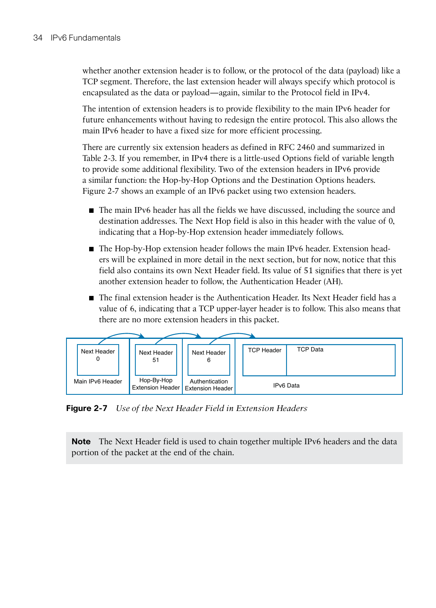whether another extension header is to follow, or the protocol of the data (payload) like a TCP segment. Therefore, the last extension header will always specify which protocol is encapsulated as the data or payload—again, similar to the Protocol field in IPv4.

 The intention of extension headers is to provide flexibility to the main IPv6 header for future enhancements without having to redesign the entire protocol. This also allows the main IPv6 header to have a fixed size for more efficient processing.

 There are currently six extension headers as defined in RFC 2460 and summarized in Table 2-3 . If you remember, in IPv4 there is a little-used Options field of variable length to provide some additional flexibility. Two of the extension headers in IPv6 provide a similar function: the Hop-by-Hop Options and the Destination Options headers. Figure 2-7 shows an example of an IPv6 packet using two extension headers.

- The main IPv6 header has all the fields we have discussed, including the source and destination addresses. The Next Hop field is also in this header with the value of 0, indicating that a Hop-by-Hop extension header immediately follows.
- The Hop-by-Hop extension header follows the main IPv6 header. Extension headers will be explained in more detail in the next section, but for now, notice that this field also contains its own Next Header field. Its value of 51 signifies that there is yet another extension header to follow, the Authentication Header (AH).
- The final extension header is the Authentication Header. Its Next Header field has a value of 6, indicating that a TCP upper-layer header is to follow. This also means that there are no more extension headers in this packet.



**Figure 2-7** *Use of the Next Header Field in Extension Headers* 

**Note** The Next Header field is used to chain together multiple IPv6 headers and the data portion of the packet at the end of the chain.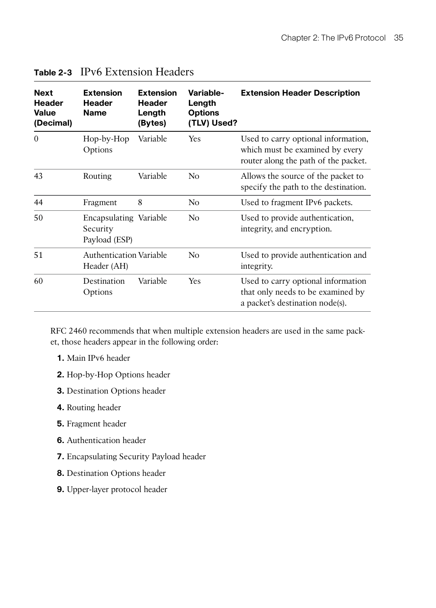| <b>Next</b><br><b>Header</b><br><b>Value</b><br>(Decimal) | <b>Extension</b><br><b>Header</b><br><b>Name</b>    | <b>Extension</b><br><b>Header</b><br>Length<br>(Bytes) | Variable-<br>Length<br><b>Options</b><br>(TLV) Used? | <b>Extension Header Description</b>                                                                            |
|-----------------------------------------------------------|-----------------------------------------------------|--------------------------------------------------------|------------------------------------------------------|----------------------------------------------------------------------------------------------------------------|
| $\Omega$                                                  | Hop-by-Hop<br>Options                               | Variable                                               | <b>Yes</b>                                           | Used to carry optional information,<br>which must be examined by every<br>router along the path of the packet. |
| 43                                                        | Routing                                             | Variable                                               | No                                                   | Allows the source of the packet to<br>specify the path to the destination.                                     |
| 44                                                        | Fragment                                            | 8                                                      | No                                                   | Used to fragment IPv6 packets.                                                                                 |
| 50                                                        | Encapsulating Variable<br>Security<br>Payload (ESP) |                                                        | No                                                   | Used to provide authentication,<br>integrity, and encryption.                                                  |
| 51                                                        | <b>Authentication Variable</b><br>Header (AH)       |                                                        | No                                                   | Used to provide authentication and<br>integrity.                                                               |
| 60                                                        | Destination<br>Options                              | Variable                                               | Yes                                                  | Used to carry optional information<br>that only needs to be examined by<br>a packet's destination node(s).     |

## **Table 2-3** IPv6 Extension Headers

 RFC 2460 recommends that when multiple extension headers are used in the same packet, those headers appear in the following order:

- **1.** Main IPv6 header
- **2.** Hop-by-Hop Options header
- **3.** Destination Options header
- **4.** Routing header
- **5.** Fragment header
- **6.** Authentication header
- **7.** Encapsulating Security Payload header
- **8.** Destination Options header
- **9.** Upper-layer protocol header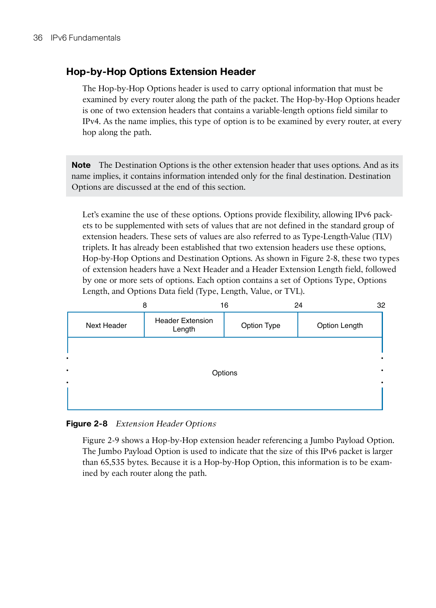## **Hop-by-Hop Options Extension Header**

 The Hop-by-Hop Options header is used to carry optional information that must be examined by every router along the path of the packet. The Hop-by-Hop Options header is one of two extension headers that contains a variable-length options field similar to IPv4. As the name implies, this type of option is to be examined by every router, at every hop along the path.

**Note** The Destination Options is the other extension header that uses options. And as its name implies, it contains information intended only for the final destination. Destination Options are discussed at the end of this section.

 Let's examine the use of these options. Options provide flexibility, allowing IPv6 packets to be supplemented with sets of values that are not defined in the standard group of extension headers. These sets of values are also referred to as Type-Length-Value (TLV) triplets. It has already been established that two extension headers use these options, Hop-by-Hop Options and Destination Options. As shown in Figure 2-8 , these two types of extension headers have a Next Header and a Header Extension Length field, followed by one or more sets of options. Each option contains a set of Options Type, Options Length, and Options Data field (Type, Length, Value, or TVL).



**Figure 2-8** *Extension Header Options* 

 Figure 2-9 shows a Hop-by-Hop extension header referencing a Jumbo Payload Option. The Jumbo Payload Option is used to indicate that the size of this IPv6 packet is larger than 65,535 bytes. Because it is a Hop-by-Hop Option, this information is to be examined by each router along the path.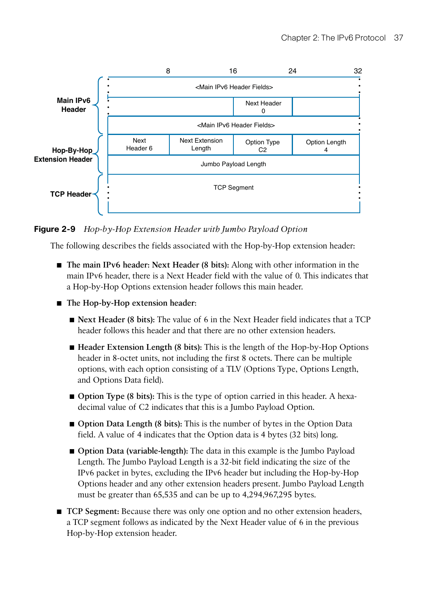

**Figure 2-9** *Hop-by-Hop Extension Header with Jumbo Payload Option* 

The following describes the fields associated with the Hop-by-Hop extension header:

- **The main IPv6 header: Next Header (8 bits):** Along with other information in the main IPv6 header, there is a Next Header field with the value of 0. This indicates that a Hop-by-Hop Options extension header follows this main header.
- **The Hop-by-Hop extension header:** 
	- **Next Header (8 bits):** The value of 6 in the Next Header field indicates that a TCP header follows this header and that there are no other extension headers.
	- **Header Extension Length (8 bits):** This is the length of the Hop-by-Hop Options header in 8-octet units, not including the first 8 octets. There can be multiple options, with each option consisting of a TLV (Options Type, Options Length, and Options Data field).
	- **Option Type (8 bits):** This is the type of option carried in this header. A hexadecimal value of C2 indicates that this is a Jumbo Payload Option.
	- **Option Data Length (8 bits):** This is the number of bytes in the Option Data field. A value of 4 indicates that the Option data is 4 bytes (32 bits) long.
	- **Option Data (variable-length):** The data in this example is the Jumbo Payload Length. The Jumbo Payload Length is a 32-bit field indicating the size of the IPv6 packet in bytes, excluding the IPv6 header but including the Hop-by-Hop Options header and any other extension headers present. Jumbo Payload Length must be greater than 65,535 and can be up to 4,294,967,295 bytes.
- **TCP Segment:** Because there was only one option and no other extension headers, a TCP segment follows as indicated by the Next Header value of 6 in the previous Hop-by-Hop extension header.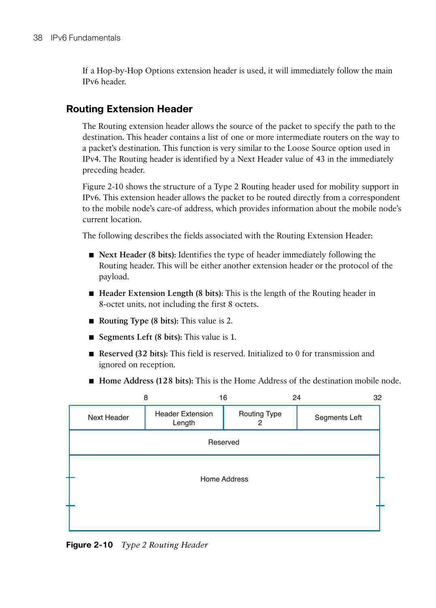If a Hop-by-Hop Options extension header is used, it will immediately follow the main IPv6 header.

## **Routing Extension Header**

 The Routing extension header allows the source of the packet to specify the path to the destination. This header contains a list of one or more intermediate routers on the way to a packet's destination. This function is very similar to the Loose Source option used in IPv4. The Routing header is identified by a Next Header value of 43 in the immediately preceding header.

 Figure 2-10 shows the structure of a Type 2 Routing header used for mobility support in IPv6. This extension header allows the packet to be routed directly from a correspondent to the mobile node's care-of address, which provides information about the mobile node's current location.

The following describes the fields associated with the Routing Extension Header:

- **Next Header (8 bits):** Identifies the type of header immediately following the Routing header. This will be either another extension header or the protocol of the payload.
- **Header Extension Length (8 bits):** This is the length of the Routing header in 8-octet units, not including the first 8 octets.
- **Routing Type (8 bits):** This value is 2.
- **Segments Left (8 bits):** This value is 1.
- **Reserved (32 bits):** This field is reserved. Initialized to 0 for transmission and ignored on reception.



■ **Home Address (128 bits):** This is the Home Address of the destination mobile node.

**Figure 2-10** *Type 2 Routing Header*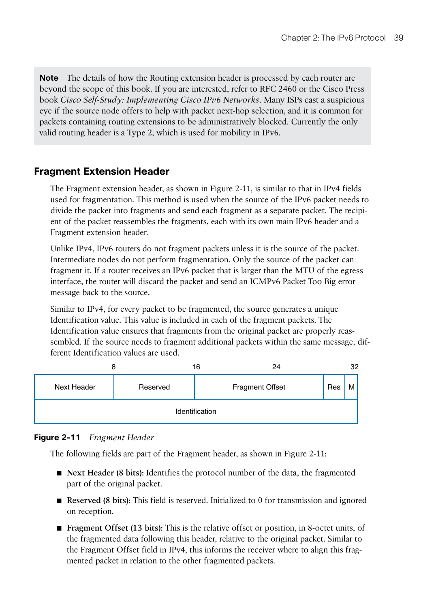**Note** The details of how the Routing extension header is processed by each router are beyond the scope of this book. If you are interested, refer to RFC 2460 or the Cisco Press book *Cisco Self-Study: Implementing Cisco IPv6 Networks* . Many ISPs cast a suspicious eye if the source node offers to help with packet next-hop selection, and it is common for packets containing routing extensions to be administratively blocked. Currently the only valid routing header is a Type 2, which is used for mobility in IPv6.

## **Fragment Extension Header**

 The Fragment extension header, as shown in Figure 2-11 , is similar to that in IPv4 fields used for fragmentation. This method is used when the source of the IPv6 packet needs to divide the packet into fragments and send each fragment as a separate packet. The recipient of the packet reassembles the fragments, each with its own main IPv6 header and a Fragment extension header.

 Unlike IPv4, IPv6 routers do not fragment packets unless it is the source of the packet. Intermediate nodes do not perform fragmentation. Only the source of the packet can fragment it. If a router receives an IPv6 packet that is larger than the MTU of the egress interface, the router will discard the packet and send an ICMPv6 Packet Too Big error message back to the source.

 Similar to IPv4, for every packet to be fragmented, the source generates a unique Identification value. This value is included in each of the fragment packets. The Identification value ensures that fragments from the original packet are properly reassembled. If the source needs to fragment additional packets within the same message, different Identification values are used.



#### **Figure 2-11** *Fragment Header*

The following fields are part of the Fragment header, as shown in Figure 2-11 :

- **Next Header (8 bits):** Identifies the protocol number of the data, the fragmented part of the original packet.
- **Reserved (8 bits):** This field is reserved. Initialized to 0 for transmission and ignored on reception.
- **Fragment Offset (13 bits):** This is the relative offset or position, in 8-octet units, of the fragmented data following this header, relative to the original packet. Similar to the Fragment Offset field in IPv4, this informs the receiver where to align this fragmented packet in relation to the other fragmented packets.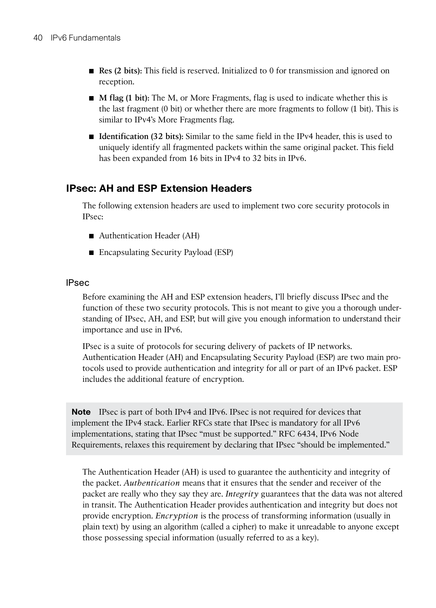- **Res (2 bits):** This field is reserved. Initialized to 0 for transmission and ignored on reception.
- **M** flag (1 bit): The M, or More Fragments, flag is used to indicate whether this is the last fragment (0 bit) or whether there are more fragments to follow (1 bit). This is similar to IPv4's More Fragments flag.
- **Identification (32 bits):** Similar to the same field in the IPv4 header, this is used to uniquely identify all fragmented packets within the same original packet. This field has been expanded from 16 bits in IPv4 to 32 bits in IPv6.

## **IPsec: AH and ESP Extension Headers**

 The following extension headers are used to implement two core security protocols in IPsec:

- Authentication Header (AH)
- Encapsulating Security Payload (ESP)

#### IPsec

 Before examining the AH and ESP extension headers, I'll briefly discuss IPsec and the function of these two security protocols. This is not meant to give you a thorough understanding of IPsec, AH, and ESP, but will give you enough information to understand their importance and use in IPv6.

 IPsec is a suite of protocols for securing delivery of packets of IP networks. Authentication Header (AH) and Encapsulating Security Payload (ESP) are two main protocols used to provide authentication and integrity for all or part of an IPv6 packet. ESP includes the additional feature of encryption.

**Note** IPsec is part of both IPv4 and IPv6. IPsec is not required for devices that implement the IPv4 stack. Earlier RFCs state that IPsec is mandatory for all IPv6 implementations, stating that IPsec "must be supported." RFC 6434, IPv6 Node Requirements, relaxes this requirement by declaring that IPsec "should be implemented."

 The Authentication Header (AH) is used to guarantee the authenticity and integrity of the packet. *Authentication* means that it ensures that the sender and receiver of the packet are really who they say they are. *Integrity* guarantees that the data was not altered in transit. The Authentication Header provides authentication and integrity but does not provide encryption. *Encryption* is the process of transforming information (usually in plain text) by using an algorithm (called a cipher) to make it unreadable to anyone except those possessing special information (usually referred to as a key).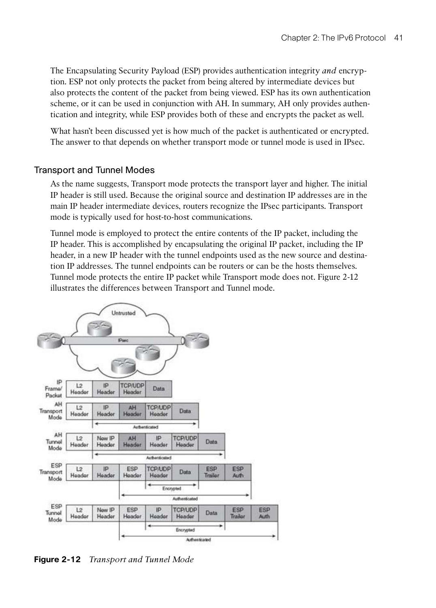The Encapsulating Security Payload (ESP) provides authentication integrity *and* encryption. ESP not only protects the packet from being altered by intermediate devices but also protects the content of the packet from being viewed. ESP has its own authentication scheme, or it can be used in conjunction with AH. In summary, AH only provides authentication and integrity, while ESP provides both of these and encrypts the packet as well.

 What hasn't been discussed yet is how much of the packet is authenticated or encrypted. The answer to that depends on whether transport mode or tunnel mode is used in IPsec.

#### Transport and Tunnel Modes

 As the name suggests, Transport mode protects the transport layer and higher. The initial IP header is still used. Because the original source and destination IP addresses are in the main IP header intermediate devices, routers recognize the IPsec participants. Transport mode is typically used for host-to-host communications.

 Tunnel mode is employed to protect the entire contents of the IP packet, including the IP header. This is accomplished by encapsulating the original IP packet, including the IP header, in a new IP header with the tunnel endpoints used as the new source and destination IP addresses. The tunnel endpoints can be routers or can be the hosts themselves. Tunnel mode protects the entire IP packet while Transport mode does not. Figure 2-12 illustrates the differences between Transport and Tunnel mode.



**Figure 2-12** *Transport and Tunnel Mode*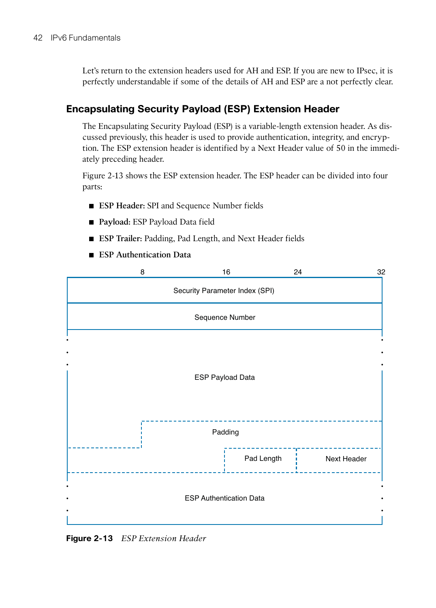Let's return to the extension headers used for AH and ESP. If you are new to IPsec, it is perfectly understandable if some of the details of AH and ESP are a not perfectly clear.

## **Encapsulating Security Payload (ESP) Extension Header**

 The Encapsulating Security Payload (ESP) is a variable-length extension header. As discussed previously, this header is used to provide authentication, integrity, and encryption. The ESP extension header is identified by a Next Header value of 50 in the immediately preceding header.

 Figure 2-13 shows the ESP extension header. The ESP header can be divided into four parts:

- **ESP Header: SPI** and Sequence Number fields
- **Payload:** ESP Payload Data field
- **ESP Trailer: Padding, Pad Length, and Next Header fields**
- **ESP** Authentication Data



**Figure 2-13** *ESP Extension Header*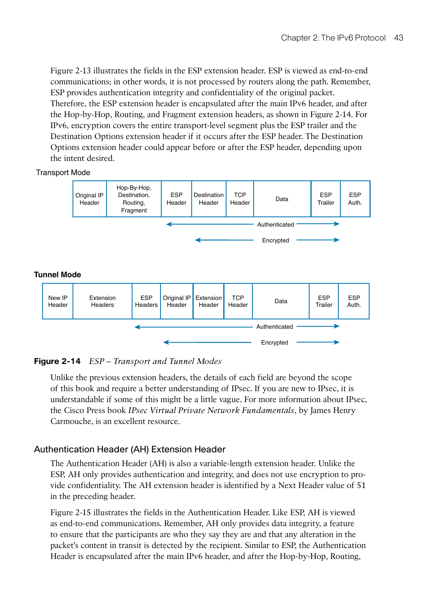Figure 2-13 illustrates the fields in the ESP extension header. ESP is viewed as end-to-end communications; in other words, it is not processed by routers along the path. Remember, ESP provides authentication integrity and confidentiality of the original packet. Therefore, the ESP extension header is encapsulated after the main IPv6 header, and after the Hop-by-Hop, Routing, and Fragment extension headers, as shown in Figure 2-14 . For IPv6, encryption covers the entire transport-level segment plus the ESP trailer and the Destination Options extension header if it occurs after the ESP header. The Destination Options extension header could appear before or after the ESP header, depending upon the intent desired.

#### Transport Mode



#### **Figure 2-14** *ESP – Transport and Tunnel Modes*

 Unlike the previous extension headers, the details of each field are beyond the scope of this book and require a better understanding of IPsec. If you are new to IPsec, it is understandable if some of this might be a little vague. For more information about IPsec, the Cisco Press book *IPsec Virtual Private Network Fundamentals* , by James Henry Carmouche, is an excellent resource.

#### Authentication Header (AH) Extension Header

 The Authentication Header (AH) is also a variable-length extension header. Unlike the ESP, AH only provides authentication and integrity, and does not use encryption to provide confidentiality. The AH extension header is identified by a Next Header value of 51 in the preceding header.

 Figure 2-15 illustrates the fields in the Authentication Header. Like ESP, AH is viewed as end-to-end communications. Remember, AH only provides data integrity, a feature to ensure that the participants are who they say they are and that any alteration in the packet's content in transit is detected by the recipient. Similar to ESP, the Authentication Header is encapsulated after the main IPv6 header, and after the Hop-by-Hop, Routing,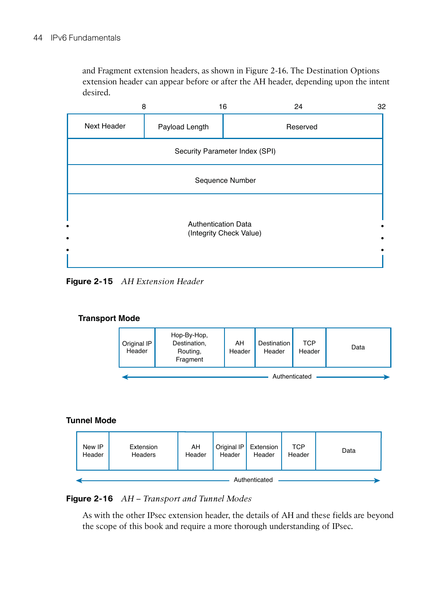and Fragment extension headers, as shown in Figure 2-16 . The Destination Options extension header can appear before or after the AH header, depending upon the intent desired.



**Figure 2-15** *AH Extension Header* 



#### **Tunnel Mode**



#### **Figure 2-16** *AH – Transport and Tunnel Modes*

 As with the other IPsec extension header, the details of AH and these fields are beyond the scope of this book and require a more thorough understanding of IPsec.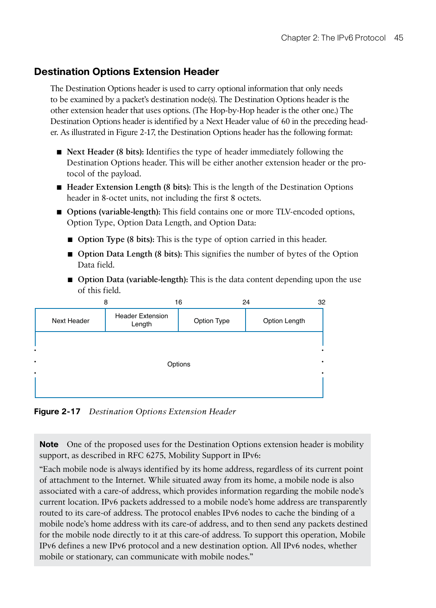## **Destination Options Extension Header**

 The Destination Options header is used to carry optional information that only needs to be examined by a packet's destination node(s). The Destination Options header is the other extension header that uses options. (The Hop-by-Hop header is the other one.) The Destination Options header is identified by a Next Header value of 60 in the preceding header. As illustrated in Figure 2-17 , the Destination Options header has the following format:

- **Next Header (8 bits):** Identifies the type of header immediately following the Destination Options header. This will be either another extension header or the protocol of the payload.
- **Header Extension Length (8 bits):** This is the length of the Destination Options header in 8-octet units, not including the first 8 octets.
- **Options (variable-length):** This field contains one or more TLV-encoded options, Option Type, Option Data Length, and Option Data:
	- **Option Type (8 bits):** This is the type of option carried in this header.
	- **Option Data Length (8 bits):** This signifies the number of bytes of the Option Data field.
	- **Option Data (variable-length):** This is the data content depending upon the use of this field.



**Figure 2-17** *Destination Options Extension Header* 

**Note** One of the proposed uses for the Destination Options extension header is mobility support, as described in RFC 6275, Mobility Support in IPv6:

 "Each mobile node is always identified by its home address, regardless of its current point of attachment to the Internet. While situated away from its home, a mobile node is also associated with a care-of address, which provides information regarding the mobile node's current location. IPv6 packets addressed to a mobile node's home address are transparently routed to its care-of address. The protocol enables IPv6 nodes to cache the binding of a mobile node's home address with its care-of address, and to then send any packets destined for the mobile node directly to it at this care-of address. To support this operation, Mobile IPv6 defines a new IPv6 protocol and a new destination option. All IPv6 nodes, whether mobile or stationary, can communicate with mobile nodes."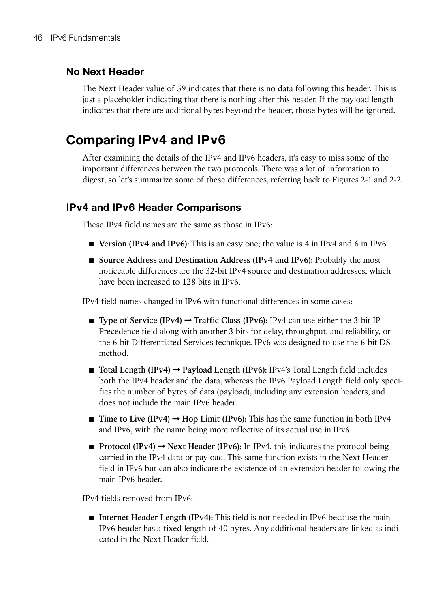## **No Next Header**

 The Next Header value of 59 indicates that there is no data following this header. This is just a placeholder indicating that there is nothing after this header. If the payload length indicates that there are additional bytes beyond the header, those bytes will be ignored.

## **Comparing IPv4 and IPv6**

 After examining the details of the IPv4 and IPv6 headers, it's easy to miss some of the important differences between the two protocols. There was a lot of information to digest, so let's summarize some of these differences, referring back to Figures 2-1 and 2-2.

### **IPv4 and IPv6 Header Comparisons**

These IPv4 field names are the same as those in IPv6:

- **Version (IPv4 and IPv6):** This is an easy one; the value is 4 in IPv4 and 6 in IPv6.
- **Source Address and Destination Address (IPv4 and IPv6):** Probably the most noticeable differences are the 32-bit IPv4 source and destination addresses, which have been increased to 128 bits in IPv6.

IPv4 field names changed in IPv6 with functional differences in some cases:

- **Type of Service (IPv4) → Traffic Class (IPv6): IPv4 can use either the 3-bit IP** Precedence field along with another 3 bits for delay, throughput, and reliability, or the 6-bit Differentiated Services technique. IPv6 was designed to use the 6-bit DS method.
- **Total Length (IPv4) → Payload Length (IPv6): IPv4's Total Length field includes** both the IPv4 header and the data, whereas the IPv6 Payload Length field only specifies the number of bytes of data (payload), including any extension headers, and does not include the main IPv6 header.
- **Time to Live (IPv4) → Hop Limit (IPv6):** This has the same function in both IPv4 and IPv6, with the name being more reflective of its actual use in IPv6.
- **Protocol (IPv4) → Next Header (IPv6):** In IPv4, this indicates the protocol being carried in the IPv4 data or payload. This same function exists in the Next Header field in IPv6 but can also indicate the existence of an extension header following the main IPv6 header.

IPv4 fields removed from IPv6:

■ **Internet Header Length (IPv4):** This field is not needed in IPv6 because the main IPv6 header has a fixed length of 40 bytes. Any additional headers are linked as indicated in the Next Header field.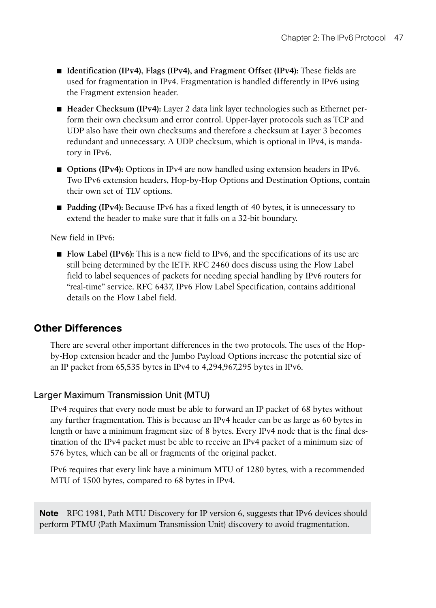- **Identification (IPv4), Flags (IPv4), and Fragment Offset (IPv4):** These fields are used for fragmentation in IPv4. Fragmentation is handled differently in IPv6 using the Fragment extension header.
- **Header Checksum (IPv4):** Layer 2 data link layer technologies such as Ethernet perform their own checksum and error control. Upper-layer protocols such as TCP and UDP also have their own checksums and therefore a checksum at Layer 3 becomes redundant and unnecessary. A UDP checksum, which is optional in IPv4, is mandatory in IPv6.
- **Options (IPv4):** Options in IPv4 are now handled using extension headers in IPv6. Two IPv6 extension headers, Hop-by-Hop Options and Destination Options, contain their own set of TLV options.
- **Padding (IPv4):** Because IPv6 has a fixed length of 40 bytes, it is unnecessary to extend the header to make sure that it falls on a 32-bit boundary.

New field in IPv6:

■ **Flow Label (IPv6):** This is a new field to IPv6, and the specifications of its use are still being determined by the IETF. RFC 2460 does discuss using the Flow Label field to label sequences of packets for needing special handling by IPv6 routers for "real-time" service. RFC 6437, IPv6 Flow Label Specification, contains additional details on the Flow Label field.

## **Other Differences**

 There are several other important differences in the two protocols. The uses of the Hopby-Hop extension header and the Jumbo Payload Options increase the potential size of an IP packet from 65,535 bytes in IPv4 to 4,294,967,295 bytes in IPv6.

### Larger Maximum Transmission Unit (MTU)

 IPv4 requires that every node must be able to forward an IP packet of 68 bytes without any further fragmentation. This is because an IPv4 header can be as large as 60 bytes in length or have a minimum fragment size of 8 bytes. Every IPv4 node that is the final destination of the IPv4 packet must be able to receive an IPv4 packet of a minimum size of 576 bytes, which can be all or fragments of the original packet.

 IPv6 requires that every link have a minimum MTU of 1280 bytes, with a recommended MTU of 1500 bytes, compared to 68 bytes in IPv4.

**Note** RFC 1981, Path MTU Discovery for IP version 6, suggests that IPv6 devices should perform PTMU (Path Maximum Transmission Unit) discovery to avoid fragmentation.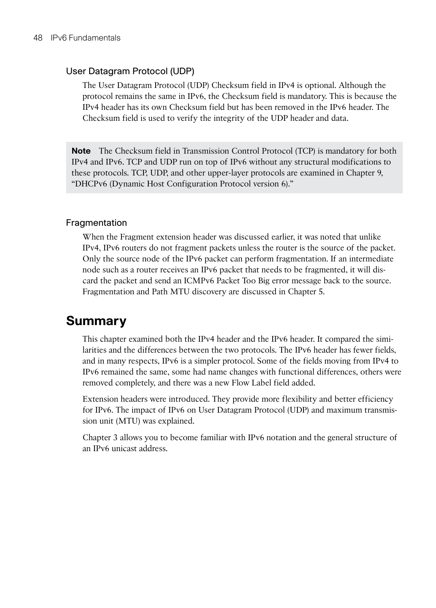#### User Datagram Protocol (UDP)

 The User Datagram Protocol (UDP) Checksum field in IPv4 is optional. Although the protocol remains the same in IPv6, the Checksum field is mandatory. This is because the IPv4 header has its own Checksum field but has been removed in the IPv6 header. The Checksum field is used to verify the integrity of the UDP header and data.

**Note** The Checksum field in Transmission Control Protocol (TCP) is mandatory for both IPv4 and IPv6. TCP and UDP run on top of IPv6 without any structural modifications to these protocols. TCP, UDP, and other upper-layer protocols are examined in Chapter 9 , "DHCPv6 (Dynamic Host Configuration Protocol version 6)."

#### Fragmentation

 When the Fragment extension header was discussed earlier, it was noted that unlike IPv4, IPv6 routers do not fragment packets unless the router is the source of the packet. Only the source node of the IPv6 packet can perform fragmentation. If an intermediate node such as a router receives an IPv6 packet that needs to be fragmented, it will discard the packet and send an ICMPv6 Packet Too Big error message back to the source. Fragmentation and Path MTU discovery are discussed in Chapter 5.

## **Summary**

 This chapter examined both the IPv4 header and the IPv6 header. It compared the similarities and the differences between the two protocols. The IPv6 header has fewer fields, and in many respects, IPv6 is a simpler protocol. Some of the fields moving from IPv4 to IPv6 remained the same, some had name changes with functional differences, others were removed completely, and there was a new Flow Label field added.

 Extension headers were introduced. They provide more flexibility and better efficiency for IPv6. The impact of IPv6 on User Datagram Protocol (UDP) and maximum transmission unit (MTU) was explained.

 Chapter 3 allows you to become familiar with IPv6 notation and the general structure of an IPv6 unicast address.